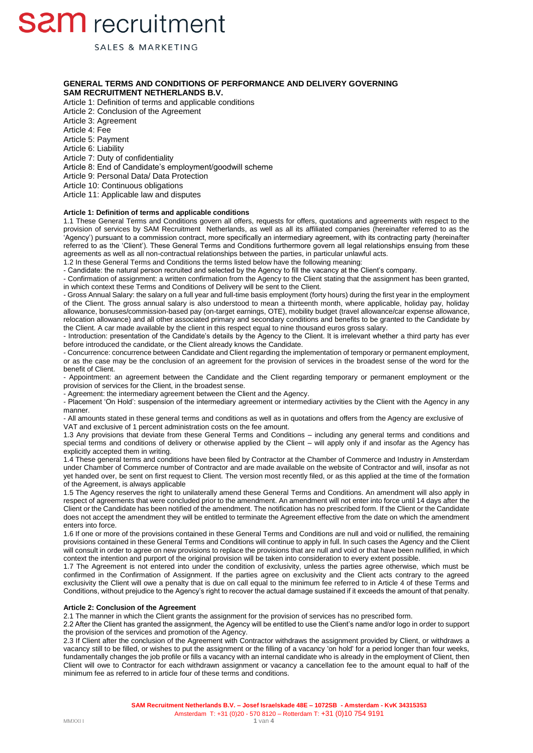SALES & MARKETING

### **GENERAL TERMS AND CONDITIONS OF PERFORMANCE AND DELIVERY GOVERNING SAM RECRUITMENT NETHERLANDS B.V.**

Article 1: Definition of terms and applicable conditions Article 2: Conclusion of the Agreement Article 3: Agreement Article 4: Fee Article 5: Payment Article 6: Liability Article 7: Duty of confidentiality Article 8: End of Candidate's employment/goodwill scheme Article 9: Personal Data/ Data Protection Article 10: Continuous obligations Article 11: Applicable law and disputes

### **Article 1: Definition of terms and applicable conditions**

1.1 These General Terms and Conditions govern all offers, requests for offers, quotations and agreements with respect to the provision of services by SAM Recruitment Netherlands, as well as all its affiliated companies (hereinafter referred to as the 'Agency') pursuant to a commission contract, more specifically an intermediary agreement, with its contracting party (hereinafter referred to as the 'Client'). These General Terms and Conditions furthermore govern all legal relationships ensuing from these agreements as well as all non-contractual relationships between the parties, in particular unlawful acts.

1.2 In these General Terms and Conditions the terms listed below have the following meaning:

- Candidate: the natural person recruited and selected by the Agency to fill the vacancy at the Client's company.

- Confirmation of assignment: a written confirmation from the Agency to the Client stating that the assignment has been granted, in which context these Terms and Conditions of Delivery will be sent to the Client.

- Gross Annual Salary: the salary on a full year and full-time basis employment (forty hours) during the first year in the employment of the Client. The gross annual salary is also understood to mean a thirteenth month, where applicable, holiday pay, holiday allowance, bonuses/commission-based pay (on-target earnings, OTE), mobility budget (travel allowance/car expense allowance, relocation allowance) and all other associated primary and secondary conditions and benefits to be granted to the Candidate by the Client. A car made available by the client in this respect equal to nine thousand euros gross salary.

- Introduction: presentation of the Candidate's details by the Agency to the Client. It is irrelevant whether a third party has ever before introduced the candidate, or the Client already knows the Candidate.

- Concurrence: concurrence between Candidate and Client regarding the implementation of temporary or permanent employment, or as the case may be the conclusion of an agreement for the provision of services in the broadest sense of the word for the benefit of Client.

- Appointment: an agreement between the Candidate and the Client regarding temporary or permanent employment or the provision of services for the Client, in the broadest sense.

- Agreement: the intermediary agreement between the Client and the Agency.

- Placement 'On Hold': suspension of the intermediary agreement or intermediary activities by the Client with the Agency in any manner.

- All amounts stated in these general terms and conditions as well as in quotations and offers from the Agency are exclusive of VAT and exclusive of 1 percent administration costs on the fee amount.

1.3 Any provisions that deviate from these General Terms and Conditions – including any general terms and conditions and special terms and conditions of delivery or otherwise applied by the Client – will apply only if and insofar as the Agency has explicitly accepted them in writing.

1.4 These general terms and conditions have been filed by Contractor at the Chamber of Commerce and Industry in Amsterdam under Chamber of Commerce number of Contractor and are made available on the website of Contractor and will, insofar as not yet handed over, be sent on first request to Client. The version most recently filed, or as this applied at the time of the formation of the Agreement, is always applicable

1.5 The Agency reserves the right to unilaterally amend these General Terms and Conditions. An amendment will also apply in respect of agreements that were concluded prior to the amendment. An amendment will not enter into force until 14 days after the Client or the Candidate has been notified of the amendment. The notification has no prescribed form. If the Client or the Candidate does not accept the amendment they will be entitled to terminate the Agreement effective from the date on which the amendment enters into force.

1.6 If one or more of the provisions contained in these General Terms and Conditions are null and void or nullified, the remaining provisions contained in these General Terms and Conditions will continue to apply in full. In such cases the Agency and the Client will consult in order to agree on new provisions to replace the provisions that are null and void or that have been nullified, in which context the intention and purport of the original provision will be taken into consideration to every extent possible.

1.7 The Agreement is not entered into under the condition of exclusivity, unless the parties agree otherwise, which must be confirmed in the Confirmation of Assignment. If the parties agree on exclusivity and the Client acts contrary to the agreed exclusivity the Client will owe a penalty that is due on call equal to the minimum fee referred to in Article 4 of these Terms and Conditions, without prejudice to the Agency's right to recover the actual damage sustained if it exceeds the amount of that penalty.

#### **Article 2: Conclusion of the Agreement**

2.1 The manner in which the Client grants the assignment for the provision of services has no prescribed form.

2.2 After the Client has granted the assignment, the Agency will be entitled to use the Client's name and/or logo in order to support the provision of the services and promotion of the Agency.

2.3 If Client after the conclusion of the Agreement with Contractor withdraws the assignment provided by Client, or withdraws a vacancy still to be filled, or wishes to put the assignment or the filling of a vacancy 'on hold' for a period longer than four weeks, fundamentally changes the job profile or fills a vacancy with an internal candidate who is already in the employment of Client, then Client will owe to Contractor for each withdrawn assignment or vacancy a cancellation fee to the amount equal to half of the minimum fee as referred to in article four of these terms and conditions.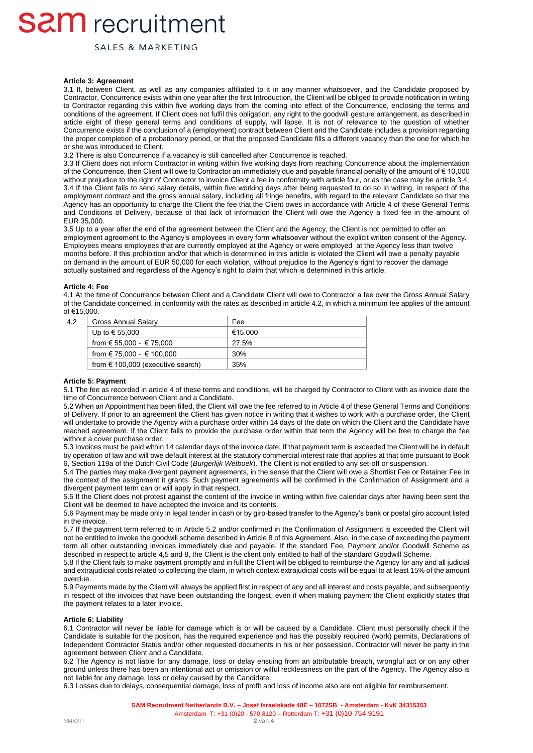SALES & MARKETING

#### **Article 3: Agreement**

3.1 If, between Client, as well as any companies affiliated to it in any manner whatsoever, and the Candidate proposed by Contractor, Concurrence exists within one year after the first Introduction, the Client will be obliged to provide notification in writing to Contractor regarding this within five working days from the coming into effect of the Concurrence, enclosing the terms and conditions of the agreement. If Client does not fulfil this obligation, any right to the goodwill gesture arrangement, as described in article eight of these general terms and conditions of supply, will lapse. It is not of relevance to the question of whether Concurrence exists if the conclusion of a (employment) contract between Client and the Candidate includes a provision regarding the proper completion of a probationary period, or that the proposed Candidate fills a different vacancy than the one for which he or she was introduced to Client.

3.2 There is also Concurrence if a vacancy is still cancelled after Concurrence is reached.

3.3 If Client does not inform Contractor in writing within five working days from reaching Concurrence about the implementation of the Concurrence, then Client will owe to Contractor an immediately due and payable financial penalty of the amount of € 10,000 without prejudice to the right of Contractor to invoice Client a fee in conformity with article four, or as the case may be article 3.4. 3.4 If the Client fails to send salary details, within five working days after being requested to do so in writing, in respect of the employment contract and the gross annual salary, including all fringe benefits, with regard to the relevant Candidate so that the Agency has an opportunity to charge the Client the fee that the Client owes in accordance with Article 4 of these General Terms and Conditions of Delivery, because of that lack of information the Client will owe the Agency a fixed fee in the amount of EUR 35,000.

3.5 Up to a year after the end of the agreement between the Client and the Agency, the Client is not permitted to offer an employment agreement to the Agency's employees in every form whatsoever without the explicit written consent of the Agency. Employees means employees that are currently employed at the Agency or were employed at the Agency less than twelve months before. If this prohibition and/or that which is determined in this article is violated the Client will owe a penalty payable on demand in the amount of EUR 50,000 for each violation, without prejudice to the Agency's right to recover the damage actually sustained and regardless of the Agency's right to claim that which is determined in this article.

#### **Article 4: Fee**

4.1 At the time of Concurrence between Client and a Candidate Client will owe to Contractor a fee over the Gross Annual Salary of the Candidate concerned, in conformity with the rates as described in article 4.2, in which a minimum fee applies of the amount of €15,000.

| 4.2 | <b>Gross Annual Salary</b>                 | Fee     |
|-----|--------------------------------------------|---------|
|     | Up to € 55,000                             | €15.000 |
|     | from $\epsilon$ 55,000 - $\epsilon$ 75,000 | 27.5%   |
|     | from $\in$ 75,000 - $\in$ 100,000          | 30%     |
|     | from $\epsilon$ 100,000 (executive search) | 35%     |

#### **Article 5: Payment**

5.1 The fee as recorded in article 4 of these terms and conditions, will be charged by Contractor to Client with as invoice date the time of Concurrence between Client and a Candidate.

5.2 When an Appointment has been filled, the Client will owe the fee referred to in Article 4 of these General Terms and Conditions of Delivery. If prior to an agreement the Client has given notice in writing that it wishes to work with a purchase order, the Client will undertake to provide the Agency with a purchase order within 14 days of the date on which the Client and the Candidate have reached agreement. If the Client fails to provide the purchase order within that term the Agency will be free to charge the fee without a cover purchase order.

5.3 Invoices must be paid within 14 calendar days of the invoice date. If that payment term is exceeded the Client will be in default by operation of law and will owe default interest at the statutory commercial interest rate that applies at that time pursuant to Book 6, Section 119a of the Dutch Civil Code (*Burgerlijk Wetboek*). The Client is not entitled to any set-off or suspension.

5.4 The parties may make divergent payment agreements, in the sense that the Client will owe a Shortlist Fee or Retainer Fee in the context of the assignment it grants. Such payment agreements will be confirmed in the Confirmation of Assignment and a divergent payment term can or will apply in that respect.

5.5 If the Client does not protest against the content of the invoice in writing within five calendar days after having been sent the Client will be deemed to have accepted the invoice and its contents.

5.6 Payment may be made only in legal tender in cash or by giro-based transfer to the Agency's bank or postal giro account listed in the invoice.

5.7 If the payment term referred to in Article 5.2 and/or confirmed in the Confirmation of Assignment is exceeded the Client will not be entitled to invoke the goodwill scheme described in Article 8 of this Agreement. Also, in the case of exceeding the payment term all other outstanding invoices immediately due and payable. If the standard Fee, Payment and/or Goodwill Scheme as described in respect to article 4,5 and 8, the Client is the client only entitled to half of the standard Goodwill Scheme.

5.8 If the Client fails to make payment promptly and in full the Client will be obliged to reimburse the Agency for any and all judicial and extrajudicial costs related to collecting the claim, in which context extrajudicial costs will be equal to at least 15% of the amount overdue.

5.9 Payments made by the Client will always be applied first in respect of any and all interest and costs payable, and subsequently in respect of the invoices that have been outstanding the longest, even if when making payment the Client explicitly states that the payment relates to a later invoice.

#### **Article 6: Liability**

6.1 Contractor will never be liable for damage which is or will be caused by a Candidate. Client must personally check if the Candidate is suitable for the position, has the required experience and has the possibly required (work) permits, Declarations of Independent Contractor Status and/or other requested documents in his or her possession. Contractor will never be party in the agreement between Client and a Candidate.

6.2 The Agency is not liable for any damage, loss or delay ensuing from an attributable breach, wrongful act or on any other ground unless there has been an intentional act or omission or wilful recklessness on the part of the Agency. The Agency also is not liable for any damage, loss or delay caused by the Candidate.

6.3 Losses due to delays, consequential damage, loss of profit and loss of income also are not eligible for reimbursement.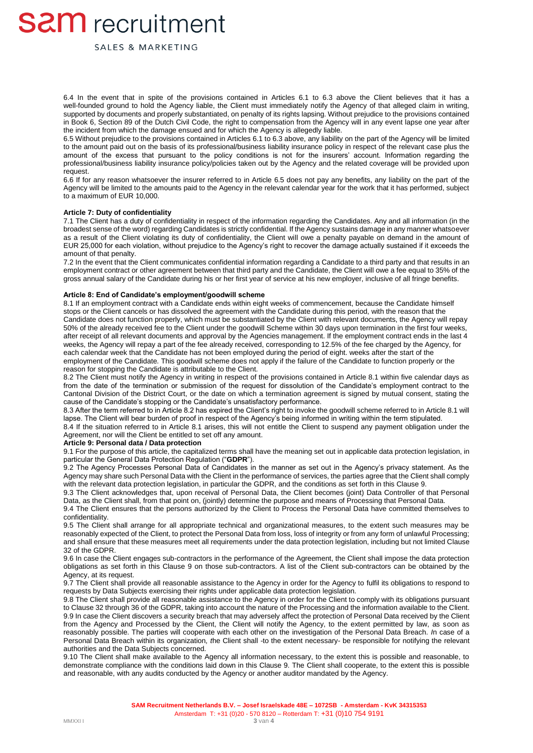SALES & MARKETING

6.4 In the event that in spite of the provisions contained in Articles 6.1 to 6.3 above the Client believes that it has a well-founded ground to hold the Agency liable, the Client must immediately notify the Agency of that alleged claim in writing, supported by documents and properly substantiated, on penalty of its rights lapsing. Without prejudice to the provisions contained in Book 6, Section 89 of the Dutch Civil Code, the right to compensation from the Agency will in any event lapse one year after the incident from which the damage ensued and for which the Agency is allegedly liable.

6.5 Without prejudice to the provisions contained in Articles 6.1 to 6.3 above, any liability on the part of the Agency will be limited to the amount paid out on the basis of its professional/business liability insurance policy in respect of the relevant case plus the amount of the excess that pursuant to the policy conditions is not for the insurers' account. Information regarding the professional/business liability insurance policy/policies taken out by the Agency and the related coverage will be provided upon request.

6.6 If for any reason whatsoever the insurer referred to in Article 6.5 does not pay any benefits, any liability on the part of the Agency will be limited to the amounts paid to the Agency in the relevant calendar year for the work that it has performed, subject to a maximum of EUR 10,000.

#### **Article 7: Duty of confidentiality**

7.1 The Client has a duty of confidentiality in respect of the information regarding the Candidates. Any and all information (in the broadest sense of the word) regarding Candidates is strictly confidential. If the Agency sustains damage in any manner whatsoever as a result of the Client violating its duty of confidentiality, the Client will owe a penalty payable on demand in the amount of EUR 25,000 for each violation, without prejudice to the Agency's right to recover the damage actually sustained if it exceeds the amount of that penalty.

7.2 In the event that the Client communicates confidential information regarding a Candidate to a third party and that results in an employment contract or other agreement between that third party and the Candidate, the Client will owe a fee equal to 35% of the gross annual salary of the Candidate during his or her first year of service at his new employer, inclusive of all fringe benefits.

#### **Article 8: End of Candidate's employment/goodwill scheme**

8.1 If an employment contract with a Candidate ends within eight weeks of commencement, because the Candidate himself stops or the Client cancels or has dissolved the agreement with the Candidate during this period, with the reason that the Candidate does not function properly, which must be substantiated by the Client with relevant documents, the Agency will repay 50% of the already received fee to the Client under the goodwill Scheme within 30 days upon termination in the first four weeks, after receipt of all relevant documents and approval by the Agencies management. If the employment contract ends in the last 4 weeks, the Agency will repay a part of the fee already received, corresponding to 12.5% of the fee charged by the Agency, for each calendar week that the Candidate has not been employed during the period of eight. weeks after the start of the employment of the Candidate. This goodwill scheme does not apply if the failure of the Candidate to function properly or the reason for stopping the Candidate is attributable to the Client.

8.2 The Client must notify the Agency in writing in respect of the provisions contained in Article 8.1 within five calendar days as from the date of the termination or submission of the request for dissolution of the Candidate's employment contract to the Cantonal Division of the District Court, or the date on which a termination agreement is signed by mutual consent, stating the cause of the Candidate's stopping or the Candidate's unsatisfactory performance.

8.3 After the term referred to in Article 8.2 has expired the Client's right to invoke the goodwill scheme referred to in Article 8.1 will lapse. The Client will bear burden of proof in respect of the Agency's being informed in writing within the term stipulated.

8.4 If the situation referred to in Article 8.1 arises, this will not entitle the Client to suspend any payment obligation under the Agreement, nor will the Client be entitled to set off any amount.

#### **Article 9: Personal data / Data protection**

9.1 For the purpose of this article, the capitalized terms shall have the meaning set out in applicable data protection legislation, in particular the General Data Protection Regulation ("**GDPR**").

9.2 The Agency Processes Personal Data of Candidates in the manner as set out in the Agency's privacy statement. As the Agency may share such Personal Data with the Client in the performance of services, the parties agree that the Client shall comply with the relevant data protection legislation, in particular the GDPR, and the conditions as set forth in this Clause 9.

9.3 The Client acknowledges that, upon receival of Personal Data, the Client becomes (joint) Data Controller of that Personal Data, as the Client shall, from that point on, (jointly) determine the purpose and means of Processing that Personal Data.

9.4 The Client ensures that the persons authorized by the Client to Process the Personal Data have committed themselves to confidentiality.

9.5 The Client shall arrange for all appropriate technical and organizational measures, to the extent such measures may be reasonably expected of the Client, to protect the Personal Data from loss, loss of integrity or from any form of unlawful Processing; and shall ensure that these measures meet all requirements under the data protection legislation, including but not limited Clause 32 of the GDPR.

9.6 In case the Client engages sub-contractors in the performance of the Agreement, the Client shall impose the data protection obligations as set forth in this Clause 9 on those sub-contractors. A list of the Client sub-contractors can be obtained by the Agency, at its request.

9.7 The Client shall provide all reasonable assistance to the Agency in order for the Agency to fulfil its obligations to respond to requests by Data Subjects exercising their rights under applicable data protection legislation.

9.8 The Client shall provide all reasonable assistance to the Agency in order for the Client to comply with its obligations pursuant to Clause 32 through 36 of the GDPR, taking into account the nature of the Processing and the information available to the Client. 9.9 In case the Client discovers a security breach that may adversely affect the protection of Personal Data received by the Client from the Agency and Processed by the Client, the Client will notify the Agency, to the extent permitted by law, as soon as reasonably possible. The parties will cooperate with each other on the investigation of the Personal Data Breach. *I*n case of a Personal Data Breach within its organization*, t*he Client shall *-*to the extent necessary*-* be responsible for notifying the relevant authorities and the Data Subjects concerned*.*

9.10 The Client shall make available to the Agency all information necessary, to the extent this is possible and reasonable, to demonstrate compliance with the conditions laid down in this Clause 9. The Client shall cooperate, to the extent this is possible and reasonable, with any audits conducted by the Agency or another auditor mandated by the Agency.